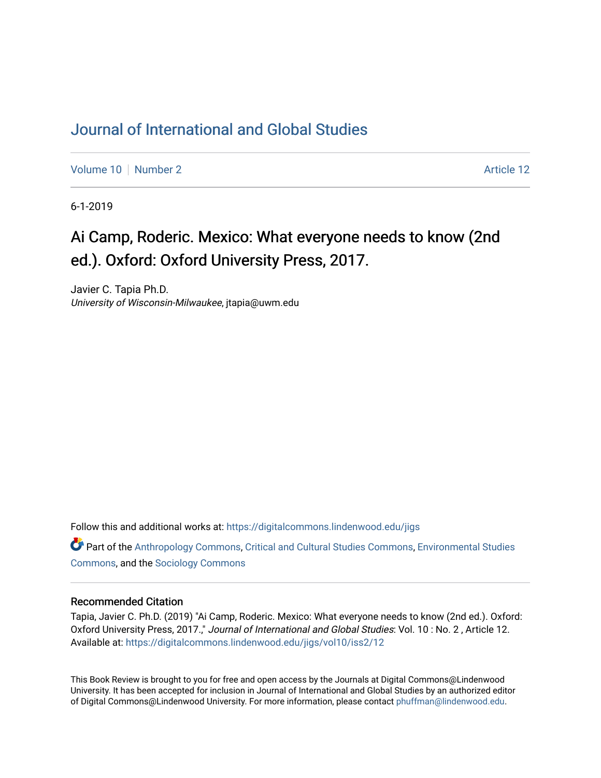## [Journal of International and Global Studies](https://digitalcommons.lindenwood.edu/jigs)

[Volume 10](https://digitalcommons.lindenwood.edu/jigs/vol10) [Number 2](https://digitalcommons.lindenwood.edu/jigs/vol10/iss2) Article 12

6-1-2019

## Ai Camp, Roderic. Mexico: What everyone needs to know (2nd ed.). Oxford: Oxford University Press, 2017.

Javier C. Tapia Ph.D. University of Wisconsin-Milwaukee, jtapia@uwm.edu

Follow this and additional works at: [https://digitalcommons.lindenwood.edu/jigs](https://digitalcommons.lindenwood.edu/jigs?utm_source=digitalcommons.lindenwood.edu%2Fjigs%2Fvol10%2Fiss2%2F12&utm_medium=PDF&utm_campaign=PDFCoverPages) 

**C** Part of the [Anthropology Commons](http://network.bepress.com/hgg/discipline/318?utm_source=digitalcommons.lindenwood.edu%2Fjigs%2Fvol10%2Fiss2%2F12&utm_medium=PDF&utm_campaign=PDFCoverPages), [Critical and Cultural Studies Commons](http://network.bepress.com/hgg/discipline/328?utm_source=digitalcommons.lindenwood.edu%2Fjigs%2Fvol10%2Fiss2%2F12&utm_medium=PDF&utm_campaign=PDFCoverPages), Environmental Studies [Commons](http://network.bepress.com/hgg/discipline/1333?utm_source=digitalcommons.lindenwood.edu%2Fjigs%2Fvol10%2Fiss2%2F12&utm_medium=PDF&utm_campaign=PDFCoverPages), and the [Sociology Commons](http://network.bepress.com/hgg/discipline/416?utm_source=digitalcommons.lindenwood.edu%2Fjigs%2Fvol10%2Fiss2%2F12&utm_medium=PDF&utm_campaign=PDFCoverPages)

## Recommended Citation

Tapia, Javier C. Ph.D. (2019) "Ai Camp, Roderic. Mexico: What everyone needs to know (2nd ed.). Oxford: Oxford University Press, 2017.," Journal of International and Global Studies: Vol. 10 : No. 2 , Article 12. Available at: [https://digitalcommons.lindenwood.edu/jigs/vol10/iss2/12](https://digitalcommons.lindenwood.edu/jigs/vol10/iss2/12?utm_source=digitalcommons.lindenwood.edu%2Fjigs%2Fvol10%2Fiss2%2F12&utm_medium=PDF&utm_campaign=PDFCoverPages) 

This Book Review is brought to you for free and open access by the Journals at Digital Commons@Lindenwood University. It has been accepted for inclusion in Journal of International and Global Studies by an authorized editor of Digital Commons@Lindenwood University. For more information, please contact [phuffman@lindenwood.edu](mailto:phuffman@lindenwood.edu).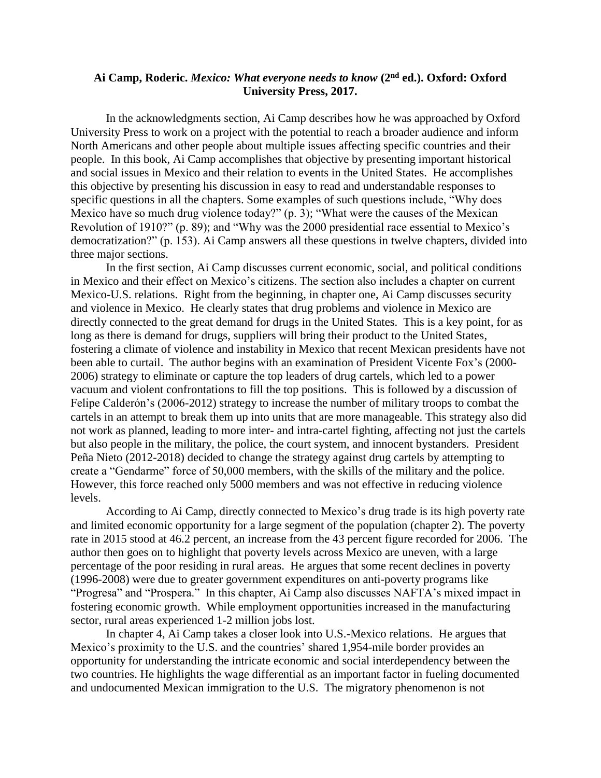## **Ai Camp, Roderic.** *Mexico: What everyone needs to know* **(2nd ed.). Oxford: Oxford University Press, 2017.**

In the acknowledgments section, Ai Camp describes how he was approached by Oxford University Press to work on a project with the potential to reach a broader audience and inform North Americans and other people about multiple issues affecting specific countries and their people. In this book, Ai Camp accomplishes that objective by presenting important historical and social issues in Mexico and their relation to events in the United States. He accomplishes this objective by presenting his discussion in easy to read and understandable responses to specific questions in all the chapters. Some examples of such questions include, "Why does Mexico have so much drug violence today?" (p. 3); "What were the causes of the Mexican Revolution of 1910?" (p. 89); and "Why was the 2000 presidential race essential to Mexico's democratization?" (p. 153). Ai Camp answers all these questions in twelve chapters, divided into three major sections.

In the first section, Ai Camp discusses current economic, social, and political conditions in Mexico and their effect on Mexico's citizens. The section also includes a chapter on current Mexico-U.S. relations. Right from the beginning, in chapter one, Ai Camp discusses security and violence in Mexico. He clearly states that drug problems and violence in Mexico are directly connected to the great demand for drugs in the United States. This is a key point, for as long as there is demand for drugs, suppliers will bring their product to the United States, fostering a climate of violence and instability in Mexico that recent Mexican presidents have not been able to curtail. The author begins with an examination of President Vicente Fox's (2000- 2006) strategy to eliminate or capture the top leaders of drug cartels, which led to a power vacuum and violent confrontations to fill the top positions. This is followed by a discussion of Felipe Calderón's (2006-2012) strategy to increase the number of military troops to combat the cartels in an attempt to break them up into units that are more manageable. This strategy also did not work as planned, leading to more inter- and intra-cartel fighting, affecting not just the cartels but also people in the military, the police, the court system, and innocent bystanders. President Peña Nieto (2012-2018) decided to change the strategy against drug cartels by attempting to create a "Gendarme" force of 50,000 members, with the skills of the military and the police. However, this force reached only 5000 members and was not effective in reducing violence levels.

According to Ai Camp, directly connected to Mexico's drug trade is its high poverty rate and limited economic opportunity for a large segment of the population (chapter 2). The poverty rate in 2015 stood at 46.2 percent, an increase from the 43 percent figure recorded for 2006. The author then goes on to highlight that poverty levels across Mexico are uneven, with a large percentage of the poor residing in rural areas. He argues that some recent declines in poverty (1996-2008) were due to greater government expenditures on anti-poverty programs like "Progresa" and "Prospera." In this chapter, Ai Camp also discusses NAFTA's mixed impact in fostering economic growth. While employment opportunities increased in the manufacturing sector, rural areas experienced 1-2 million jobs lost.

In chapter 4, Ai Camp takes a closer look into U.S.-Mexico relations. He argues that Mexico's proximity to the U.S. and the countries' shared 1,954-mile border provides an opportunity for understanding the intricate economic and social interdependency between the two countries. He highlights the wage differential as an important factor in fueling documented and undocumented Mexican immigration to the U.S. The migratory phenomenon is not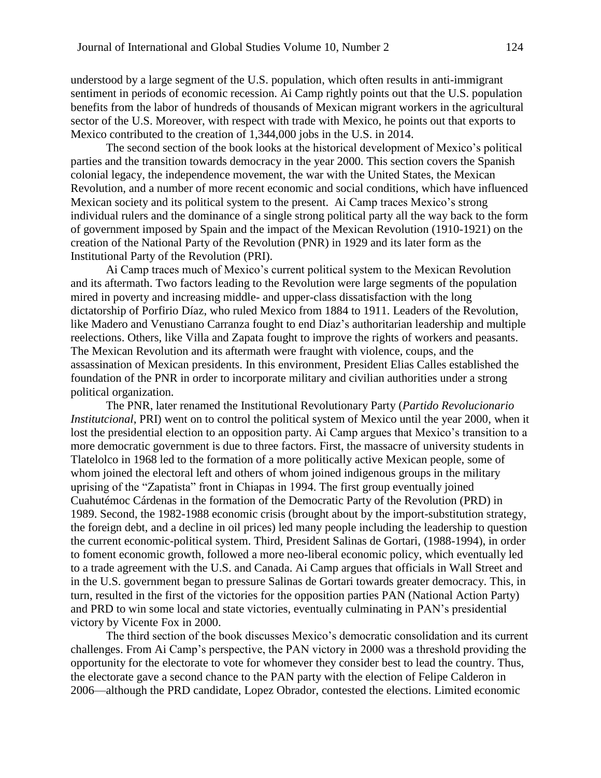understood by a large segment of the U.S. population, which often results in anti-immigrant sentiment in periods of economic recession. Ai Camp rightly points out that the U.S. population benefits from the labor of hundreds of thousands of Mexican migrant workers in the agricultural sector of the U.S. Moreover, with respect with trade with Mexico, he points out that exports to Mexico contributed to the creation of 1,344,000 jobs in the U.S. in 2014.

The second section of the book looks at the historical development of Mexico's political parties and the transition towards democracy in the year 2000. This section covers the Spanish colonial legacy, the independence movement, the war with the United States, the Mexican Revolution, and a number of more recent economic and social conditions, which have influenced Mexican society and its political system to the present. Ai Camp traces Mexico's strong individual rulers and the dominance of a single strong political party all the way back to the form of government imposed by Spain and the impact of the Mexican Revolution (1910-1921) on the creation of the National Party of the Revolution (PNR) in 1929 and its later form as the Institutional Party of the Revolution (PRI).

Ai Camp traces much of Mexico's current political system to the Mexican Revolution and its aftermath. Two factors leading to the Revolution were large segments of the population mired in poverty and increasing middle- and upper-class dissatisfaction with the long dictatorship of Porfirio Díaz, who ruled Mexico from 1884 to 1911. Leaders of the Revolution, like Madero and Venustiano Carranza fought to end Díaz's authoritarian leadership and multiple reelections. Others, like Villa and Zapata fought to improve the rights of workers and peasants. The Mexican Revolution and its aftermath were fraught with violence, coups, and the assassination of Mexican presidents. In this environment, President Elias Calles established the foundation of the PNR in order to incorporate military and civilian authorities under a strong political organization.

The PNR, later renamed the Institutional Revolutionary Party (*Partido Revolucionario Institutcional*, PRI) went on to control the political system of Mexico until the year 2000, when it lost the presidential election to an opposition party. Ai Camp argues that Mexico's transition to a more democratic government is due to three factors. First, the massacre of university students in Tlatelolco in 1968 led to the formation of a more politically active Mexican people, some of whom joined the electoral left and others of whom joined indigenous groups in the military uprising of the "Zapatista" front in Chiapas in 1994. The first group eventually joined Cuahutémoc Cárdenas in the formation of the Democratic Party of the Revolution (PRD) in 1989. Second, the 1982-1988 economic crisis (brought about by the import-substitution strategy, the foreign debt, and a decline in oil prices) led many people including the leadership to question the current economic-political system. Third, President Salinas de Gortari, (1988-1994), in order to foment economic growth, followed a more neo-liberal economic policy, which eventually led to a trade agreement with the U.S. and Canada. Ai Camp argues that officials in Wall Street and in the U.S. government began to pressure Salinas de Gortari towards greater democracy. This, in turn, resulted in the first of the victories for the opposition parties PAN (National Action Party) and PRD to win some local and state victories, eventually culminating in PAN's presidential victory by Vicente Fox in 2000.

The third section of the book discusses Mexico's democratic consolidation and its current challenges. From Ai Camp's perspective, the PAN victory in 2000 was a threshold providing the opportunity for the electorate to vote for whomever they consider best to lead the country. Thus, the electorate gave a second chance to the PAN party with the election of Felipe Calderon in 2006—although the PRD candidate, Lopez Obrador, contested the elections. Limited economic